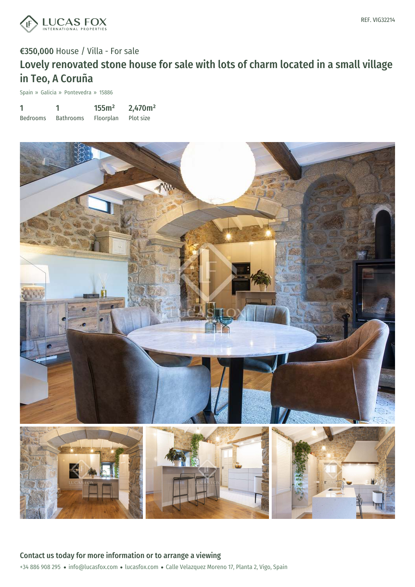

Spain » Galicia » Pontevedra » 15886

| 1               |                  | 155m <sup>2</sup> | 2,470m <sup>2</sup> |
|-----------------|------------------|-------------------|---------------------|
| <b>Bedrooms</b> | <b>Bathrooms</b> | Floorplan         | Plot size           |

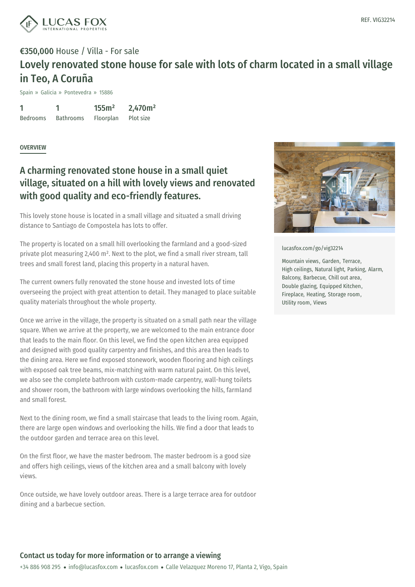

Spain » Galicia » Pontevedra » 15886

1 Bedrooms 1 Bathrooms 155m² Floorplan 2,470m² Plot size

#### **OVERVIEW**

### A charming renovated stone house in a small quiet village, situated on a hill with lovely views and renovated with good quality and eco-friendly features.

This lovely stone house is located in a small village and situated a small driving distance to Santiago de Compostela has lots to offer.

The property is located on a small hill overlooking the farmland and a good-sized private plot measuring 2,400 m². Next to the plot, we find a small river stream, tall trees and small forest land, placing this property in a natural haven.

The current owners fully renovated the stone house and invested lots of time overseeing the project with great attention to detail. They managed to place suitable quality materials throughout the whole property.

Once we arrive in the village, the property is situated on a small path near the village square. When we arrive at the property, we are welcomed to the main entrance door that leads to the main floor. On this level, we find the open kitchen area equipped and designed with good quality carpentry and finishes, and this area then leads to the dining area. Here we find exposed stonework, wooden flooring and high ceilings with exposed oak tree beams, mix-matching with warm natural paint. On this level, we also see the complete bathroom with custom-made carpentry, wall-hung toilets and shower room, the bathroom with large windows overlooking the hills, farmland and small forest.

Next to the dining room, we find a small staircase that leads to the living room. Again, there are large open [windows](mailto:info@lucasfox.com) and ov[erlooking](https://www.lucasfox.com) the hills. We find a door that leads to the outdoor garden and terrace area on this level.

On the first floor, we have the master bedroom. The master bedroom is a good size and offers high ceilings, views of the kitchen area and a small balcony with lovely views.

Once outside, we have lovely outdoor areas. There is a large terrace area for outdoor dining and a barbecue section.



[lucasfox.com/go/vig32214](https://www.lucasfox.com/go/vig32214)

Mountain views, Garden, Terrace, High ceilings, Natural light, Parking, Alarm, Balcony, Barbecue, Chill out area, Double glazing, Equipped Kitchen, Fireplace, Heating, Storage room, Utility room, Views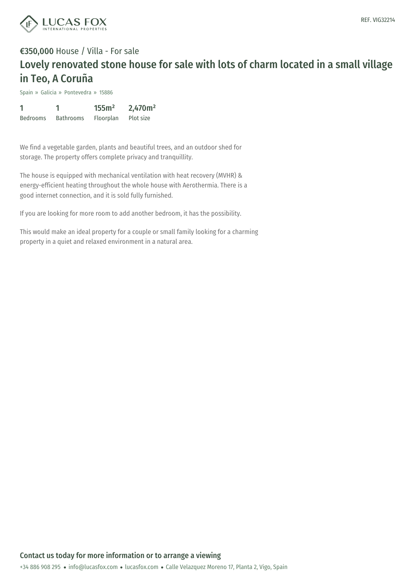

Spain » Galicia » Pontevedra » 15886

| 1               |                  | 155m <sup>2</sup> | 2,470m <sup>2</sup> |
|-----------------|------------------|-------------------|---------------------|
| <b>Bedrooms</b> | <b>Bathrooms</b> | Floorplan         | Plot size           |

We find a vegetable garden, plants and beautiful trees, and an outdoor shed for storage. The property offers complete privacy and tranquillity.

The house is equipped with mechanical ventilation with heat recovery (MVHR) & energy-efficient heating throughout the whole house with Aerothermia. There is a good internet connection, and it is sold fully furnished.

If you are looking for more room to add another bedroom, it has the possibility.

This would make an ideal property for a couple or small family looking for a charming property in a quiet and relaxed environment in a natural area.